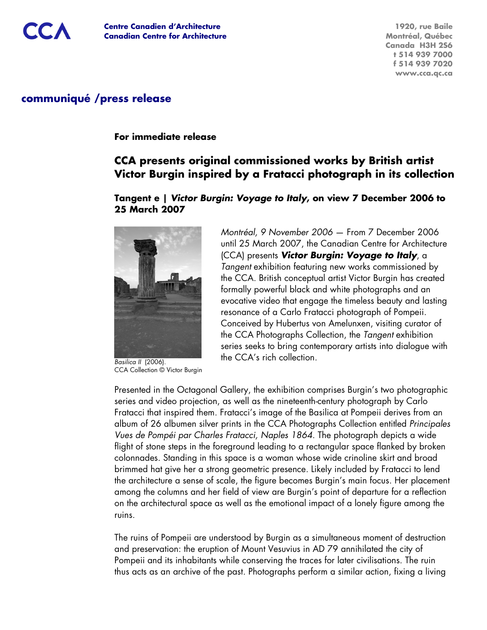**1920, rue Baile Montréal, Québec Canada H3H 2S6 t 514 939 7000 f 514 939 7020 www.cca.qc.ca**

## **communiqué /press release**

#### **For immediate release**

# **CCA presents original commissioned works by British artist Victor Burgin inspired by a Fratacci photograph in its collection**

## **Tangent e | Victor Burgin: Voyage to Italy, on view 7 December 2006 to 25 March 2007**



Basilica II (2006). CCA Collection © Victor Burgin

Montréal, 9 November 2006 — From 7 December 2006 until 25 March 2007, the Canadian Centre for Architecture (CCA) presents **Victor Burgin: Voyage to Italy**, a Tangent exhibition featuring new works commissioned by the CCA. British conceptual artist Victor Burgin has created formally powerful black and white photographs and an evocative video that engage the timeless beauty and lasting resonance of a Carlo Fratacci photograph of Pompeii. Conceived by Hubertus von Amelunxen, visiting curator of the CCA Photographs Collection, the Tangent exhibition series seeks to bring contemporary artists into dialogue with the CCA's rich collection.

Presented in the Octagonal Gallery, the exhibition comprises Burgin's two photographic series and video projection, as well as the nineteenth-century photograph by Carlo Fratacci that inspired them. Fratacci's image of the Basilica at Pompeii derives from an album of 26 albumen silver prints in the CCA Photographs Collection entitled Principales Vues de Pompéi par Charles Fratacci, Naples 1864. The photograph depicts a wide flight of stone steps in the foreground leading to a rectangular space flanked by broken colonnades. Standing in this space is a woman whose wide crinoline skirt and broad brimmed hat give her a strong geometric presence. Likely included by Fratacci to lend the architecture a sense of scale, the figure becomes Burgin's main focus. Her placement among the columns and her field of view are Burgin's point of departure for a reflection on the architectural space as well as the emotional impact of a lonely figure among the ruins.

The ruins of Pompeii are understood by Burgin as a simultaneous moment of destruction and preservation: the eruption of Mount Vesuvius in AD 79 annihilated the city of Pompeii and its inhabitants while conserving the traces for later civilisations. The ruin thus acts as an archive of the past. Photographs perform a similar action, fixing a living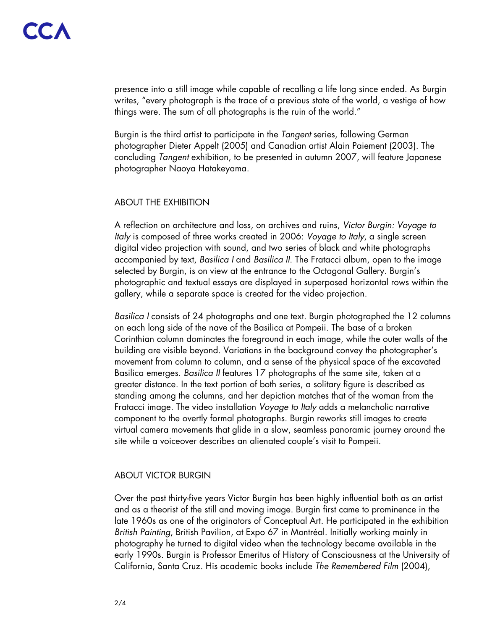presence into a still image while capable of recalling a life long since ended. As Burgin writes, "every photograph is the trace of a previous state of the world, a vestige of how things were. The sum of all photographs is the ruin of the world."

Burgin is the third artist to participate in the Tangent series, following German photographer Dieter Appelt (2005) and Canadian artist Alain Paiement (2003). The concluding Tangent exhibition, to be presented in autumn 2007, will feature Japanese photographer Naoya Hatakeyama.

#### ABOUT THE EXHIBITION

A reflection on architecture and loss, on archives and ruins, Victor Burgin: Voyage to Italy is composed of three works created in 2006: Voyage to Italy, a single screen digital video projection with sound, and two series of black and white photographs accompanied by text, Basilica <sup>I</sup> and Basilica II. The Fratacci album, open to the image selected by Burgin, is on view at the entrance to the Octagonal Gallery. Burgin's photographic and textual essays are displayed in superposed horizontal rows within the gallery, while a separate space is created for the video projection.

Basilica <sup>I</sup> consists of 24 photographs and one text. Burgin photographed the 12 columns on each long side of the nave of the Basilica at Pompeii. The base of a broken Corinthian column dominates the foreground in each image, while the outer walls of the building are visible beyond. Variations in the background convey the photographer's movement from column to column, and a sense of the physical space of the excavated Basilica emerges. Basilica II features 17 photographs of the same site, taken at a greater distance. In the text portion of both series, a solitary figure is described as standing among the columns, and her depiction matches that of the woman from the Fratacci image. The video installation Voyage to Italy adds a melancholic narrative component to the overtly formal photographs. Burgin reworks still images to create virtual camera movements that glide in a slow, seamless panoramic journey around the site while a voiceover describes an alienated couple's visit to Pompeii.

#### ABOUT VICTOR BURGIN

Over the past thirty-five years Victor Burgin has been highly influential both as an artist and as a theorist of the still and moving image. Burgin first came to prominence in the late 1960s as one of the originators of Conceptual Art. He participated in the exhibition British Painting, British Pavilion, at Expo 67 in Montréal. Initially working mainly in photography he turned to digital video when the technology became available in the early 1990s. Burgin is Professor Emeritus of History of Consciousness at the University of California, Santa Cruz. His academic books include The Remembered Film (2004),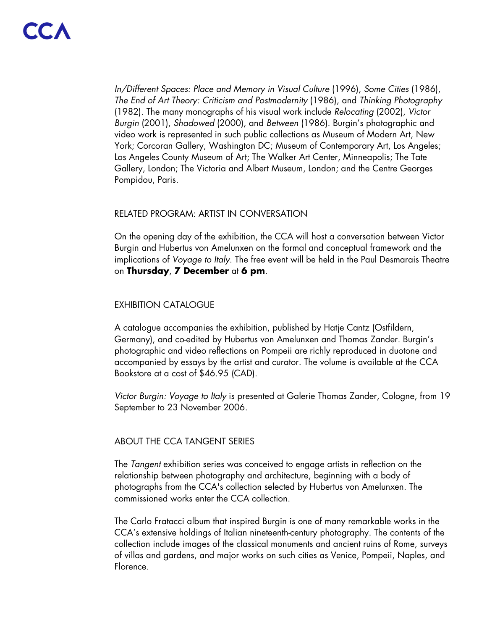In/Different Spaces: Place and Memory in Visual Culture (1996), Some Cities (1986), The End of Art Theory: Criticism and Postmodernity (1986), and Thinking Photography (1982). The many monographs of his visual work include Relocating (2002), Victor Burgin (2001), Shadowed (2000), and Between (1986). Burgin's photographic and video work is represented in such public collections as Museum of Modern Art, New York; Corcoran Gallery, Washington DC; Museum of Contemporary Art, Los Angeles; Los Angeles County Museum of Art; The Walker Art Center, Minneapolis; The Tate Gallery, London; The Victoria and Albert Museum, London; and the Centre Georges Pompidou, Paris.

#### RELATED PROGRAM: ARTIST IN CONVERSATION

On the opening day of the exhibition, the CCA will host a conversation between Victor Burgin and Hubertus von Amelunxen on the formal and conceptual framework and the implications of Voyage to Italy. The free event will be held in the Paul Desmarais Theatre on **Thursday**, **7 December** at **6 pm**.

## EXHIBITION CATALOGUE

A catalogue accompanies the exhibition, published by Hatje Cantz (Ostfildern, Germany), and co-edited by Hubertus von Amelunxen and Thomas Zander. Burgin's photographic and video reflections on Pompeii are richly reproduced in duotone and accompanied by essays by the artist and curator. The volume is available at the CCA Bookstore at a cost of \$46.95 (CAD).

Victor Burgin: Voyage to Italy is presented at Galerie Thomas Zander, Cologne, from 19 September to 23 November 2006.

## ABOUT THE CCA TANGENT SERIES

The Tangent exhibition series was conceived to engage artists in reflection on the relationship between photography and architecture, beginning with a body of photographs from the CCA's collection selected by Hubertus von Amelunxen. The commissioned works enter the CCA collection.

The Carlo Fratacci album that inspired Burgin is one of many remarkable works in the CCA's extensive holdings of Italian nineteenth-century photography. The contents of the collection include images of the classical monuments and ancient ruins of Rome, surveys of villas and gardens, and major works on such cities as Venice, Pompeii, Naples, and Florence.